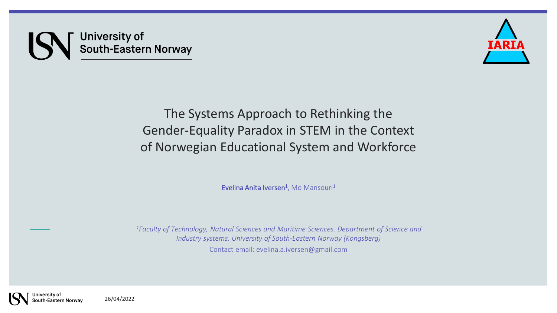# University of<br>South-Eastern Norway



The Systems Approach to Rethinking the Gender-Equality Paradox in STEM in the Context of Norwegian Educational System and Workforce

Evelina Anita Iversen<sup>1</sup>, Mo Mansouri<sup>1</sup>

*<sup>1</sup>Faculty of Technology, Natural Sciences and Maritime Sciences. Department of Science and Industry systems. University of South-Eastern Norway (Kongsberg)* Contact email: evelina.a.iversen@gmail.com



26/04/2022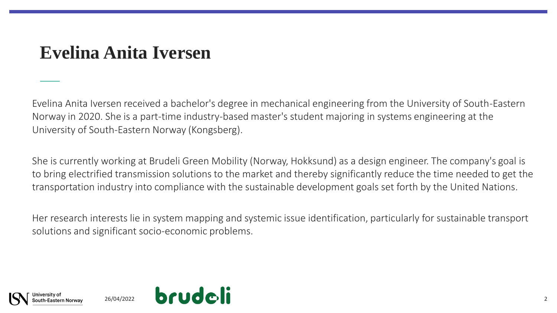## **Evelina Anita Iversen**

Evelina Anita Iversen received a bachelor's degree in mechanical engineering from the University of South-Eastern Norway in 2020. She is a part-time industry-based master's student majoring in systems engineering at the University of South-Eastern Norway (Kongsberg).

She is currently working at Brudeli Green Mobility (Norway, Hokksund) as a design engineer. The company's goal is to bring electrified transmission solutions to the market and thereby significantly reduce the time needed to get the transportation industry into compliance with the sustainable development goals set forth by the United Nations.

Her research interests lie in system mapping and systemic issue identification, particularly for sustainable transport solutions and significant socio-economic problems.

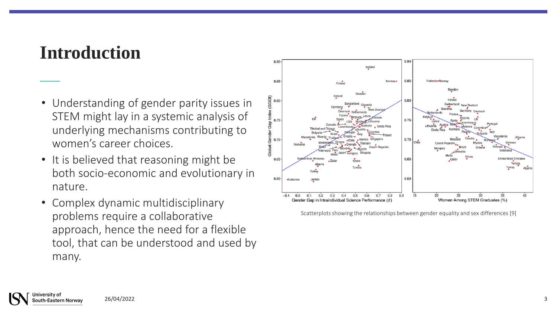#### **Introduction**

- Understanding of gender parity issues in STEM might lay in a systemic analysis of underlying mechanisms contributing to women's career choices.
- It is believed that reasoning might be both socio-economic and evolutionary in nature.
- Complex dynamic multidisciplinary problems require a collaborative approach, hence the need for a flexible tool, that can be understood and used by many.



Scatterplots showing the relationships between gender equality and sex differences [9]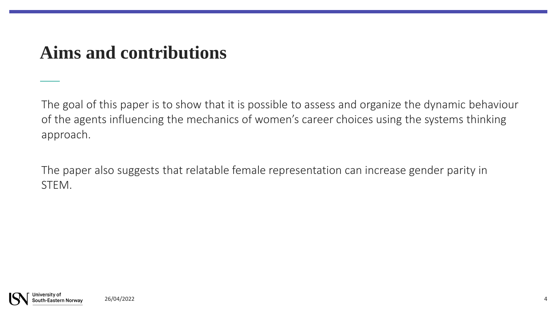## **Aims and contributions**

The goal of this paper is to show that it is possible to assess and organize the dynamic behaviour of the agents influencing the mechanics of women's career choices using the systems thinking approach.

The paper also suggests that relatable female representation can increase gender parity in STEM.

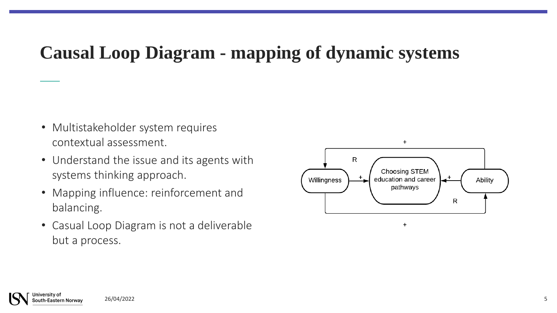## **Causal Loop Diagram - mapping of dynamic systems**

- Multistakeholder system requires contextual assessment.
- Understand the issue and its agents with systems thinking approach.
- Mapping influence: reinforcement and balancing.
- Casual Loop Diagram is not a deliverable but a process.

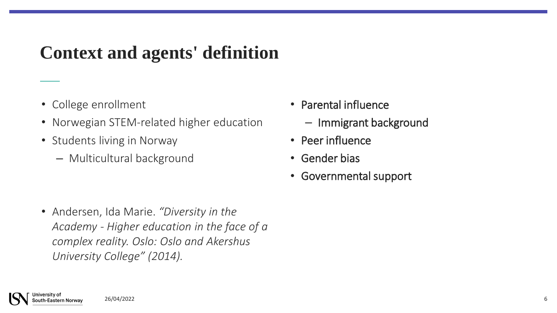## **Context and agents' definition**

- College enrollment
- Norwegian STEM-related higher education
- Students living in Norway
	- Multicultural background
- Parental influence
	- Immigrant background
- Peer influence
- Gender bias
- Governmental support
- Andersen, Ida Marie. *"Diversity in the Academy - Higher education in the face of a complex reality. Oslo: Oslo and Akershus University College" (2014).*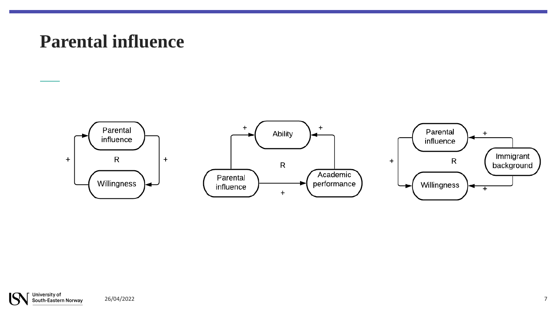## **Parental influence**

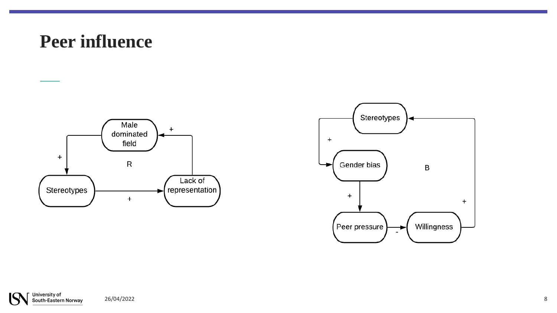#### **Peer influence**



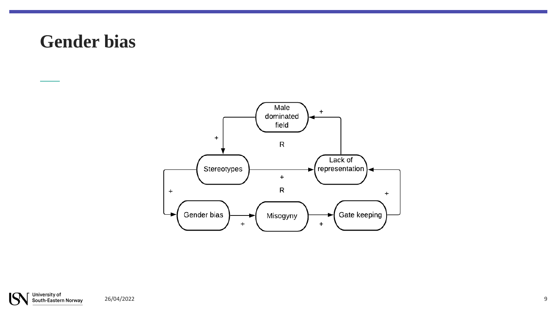#### **Gender bias**



University of<br>South-Eastern Norway 26/04/2022 9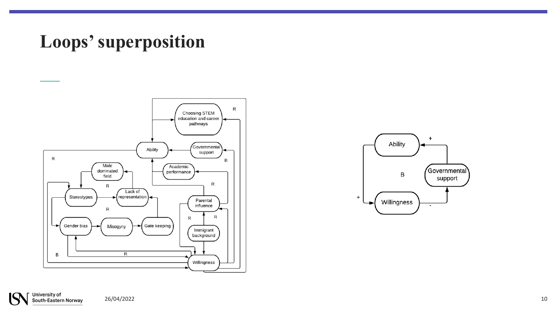## **Loops' superposition**



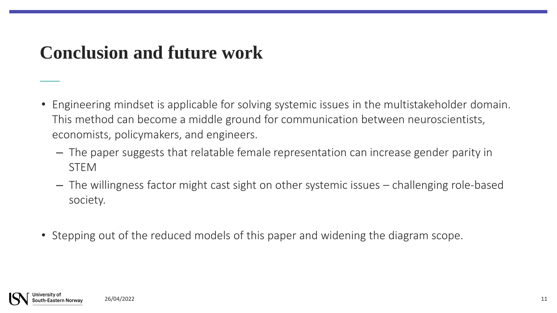## **Conclusion and future work**

- Engineering mindset is applicable for solving systemic issues in the multistakeholder domain. This method can become a middle ground for communication between neuroscientists, economists, policymakers, and engineers.
	- The paper suggests that relatable female representation can increase gender parity in STEM
	- The willingness factor might cast sight on other systemic issues challenging role-based society.
- Stepping out of the reduced models of this paper and widening the diagram scope.